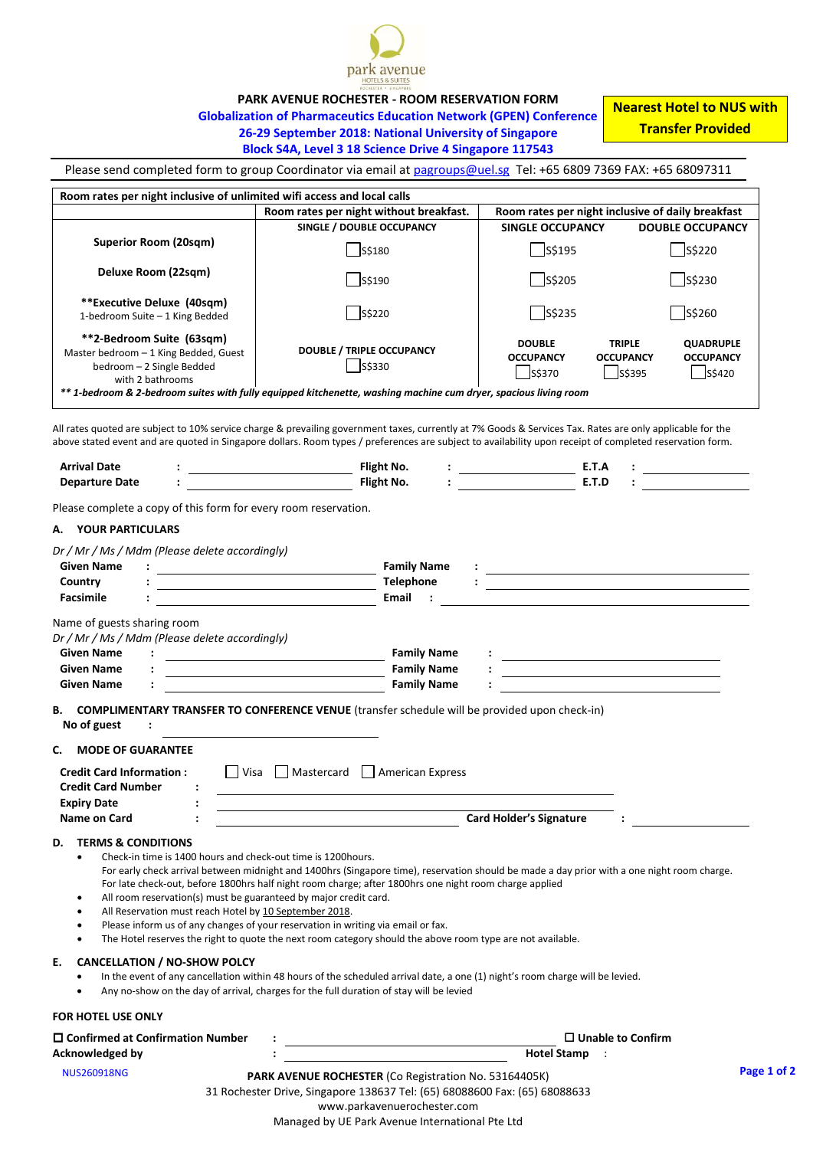

**PARK AVENUE ROCHESTER - ROOM RESERVATION FORM**

**Globalization of Pharmaceutics Education Network (GPEN) Conference 26-29 September 2018: National University of Singapore**

**Nearest Hotel to NUS with Transfer Provided**

## **Block S4A, Level 3 18 Science Drive 4 Singapore 117543**

Please send completed form to group Coordinator via email at [pagroups@uel.sg](mailto:pagroups@uel.sg) Tel: +65 6809 7369 FAX: +65 68097311

| Room rates per night inclusive of unlimited wifi access and local calls                                                                                                                                                                                                                                                                                                                          |                                                                                                                                                                                                                                                                                                                                                                                                                                                         |                                                                                                                                                                                                                                                                                                                                                                                                                                                                           |                                                                                               |
|--------------------------------------------------------------------------------------------------------------------------------------------------------------------------------------------------------------------------------------------------------------------------------------------------------------------------------------------------------------------------------------------------|---------------------------------------------------------------------------------------------------------------------------------------------------------------------------------------------------------------------------------------------------------------------------------------------------------------------------------------------------------------------------------------------------------------------------------------------------------|---------------------------------------------------------------------------------------------------------------------------------------------------------------------------------------------------------------------------------------------------------------------------------------------------------------------------------------------------------------------------------------------------------------------------------------------------------------------------|-----------------------------------------------------------------------------------------------|
|                                                                                                                                                                                                                                                                                                                                                                                                  | Room rates per night without breakfast.<br>SINGLE / DOUBLE OCCUPANCY                                                                                                                                                                                                                                                                                                                                                                                    | Room rates per night inclusive of daily breakfast<br><b>SINGLE OCCUPANCY</b>                                                                                                                                                                                                                                                                                                                                                                                              | <b>DOUBLE OCCUPANCY</b>                                                                       |
| <b>Superior Room (20sqm)</b>                                                                                                                                                                                                                                                                                                                                                                     | S\$180                                                                                                                                                                                                                                                                                                                                                                                                                                                  | S\$195                                                                                                                                                                                                                                                                                                                                                                                                                                                                    | S\$220                                                                                        |
| Deluxe Room (22sqm)                                                                                                                                                                                                                                                                                                                                                                              | S\$190                                                                                                                                                                                                                                                                                                                                                                                                                                                  | S\$205                                                                                                                                                                                                                                                                                                                                                                                                                                                                    | $S$ \$230                                                                                     |
| **Executive Deluxe (40sqm)<br>1-bedroom Suite - 1 King Bedded                                                                                                                                                                                                                                                                                                                                    | S\$220                                                                                                                                                                                                                                                                                                                                                                                                                                                  | S\$235                                                                                                                                                                                                                                                                                                                                                                                                                                                                    | S\$260                                                                                        |
| **2-Bedroom Suite (63sqm)<br>Master bedroom - 1 King Bedded, Guest<br>bedroom - 2 Single Bedded<br>with 2 bathrooms                                                                                                                                                                                                                                                                              | <b>DOUBLE / TRIPLE OCCUPANCY</b><br>S\$330<br>** 1-bedroom & 2-bedroom suites with fully equipped kitchenette, washing machine cum dryer, spacious living room                                                                                                                                                                                                                                                                                          | <b>DOUBLE</b><br><b>OCCUPANCY</b><br>S\$370                                                                                                                                                                                                                                                                                                                                                                                                                               | <b>TRIPLE</b><br><b>QUADRUPLE</b><br><b>OCCUPANCY</b><br><b>OCCUPANCY</b><br>S\$395<br>S\$420 |
|                                                                                                                                                                                                                                                                                                                                                                                                  | All rates quoted are subject to 10% service charge & prevailing government taxes, currently at 7% Goods & Services Tax. Rates are only applicable for the<br>above stated event and are quoted in Singapore dollars. Room types / preferences are subject to availability upon receipt of completed reservation form.                                                                                                                                   |                                                                                                                                                                                                                                                                                                                                                                                                                                                                           |                                                                                               |
| <b>Arrival Date</b>                                                                                                                                                                                                                                                                                                                                                                              | Flight No.<br><u> 1989 - Johann Barbara, martin a</u>                                                                                                                                                                                                                                                                                                                                                                                                   |                                                                                                                                                                                                                                                                                                                                                                                                                                                                           |                                                                                               |
| <b>Departure Date</b>                                                                                                                                                                                                                                                                                                                                                                            | Flight No.                                                                                                                                                                                                                                                                                                                                                                                                                                              | $\vdots$ E.T.A<br>E.T.D                                                                                                                                                                                                                                                                                                                                                                                                                                                   |                                                                                               |
| A. YOUR PARTICULARS<br>Dr / Mr / Ms / Mdm (Please delete accordingly)<br><b>Given Name</b><br>Country<br><b>Facsimile</b><br>Name of guests sharing room<br>Dr / Mr / Ms / Mdm (Please delete accordingly)<br><b>Given Name</b><br><b>Given Name</b><br><b>Given Name</b><br>в.<br>No of guest<br><b>MODE OF GUARANTEE</b><br>С.<br><b>Credit Card Information:</b><br><b>Credit Card Number</b> | <b>Family Name</b><br>Telephone<br><u> 1980 - Johann Barn, mars eta bainar eta bat erroman erroman erroman erroman erroman erroman erroman erroman </u><br>Email<br><b>Family Name</b><br><b>Family Name</b><br><b>Family Name</b><br><b>COMPLIMENTARY TRANSFER TO CONFERENCE VENUE</b> (transfer schedule will be provided upon check-in)<br>Visa Mastercard American Express                                                                          | $\frac{1}{2}$ . The contract of the contract of the contract of the contract of the contract of the contract of the contract of the contract of the contract of the contract of the contract of the contract of the contract of t<br><u>and the companion of the companion of the companion of the companion of the companion of the companion of the companion of the companion of the companion of the companion of the companion of the companion of the companion</u> |                                                                                               |
| <b>Expiry Date</b>                                                                                                                                                                                                                                                                                                                                                                               |                                                                                                                                                                                                                                                                                                                                                                                                                                                         |                                                                                                                                                                                                                                                                                                                                                                                                                                                                           |                                                                                               |
| Name on Card<br><b>TERMS &amp; CONDITIONS</b><br>D.<br>Check-in time is 1400 hours and check-out time is 1200hours.<br>$\bullet$<br>All room reservation(s) must be guaranteed by major credit card.<br>All Reservation must reach Hotel by 10 September 2018.                                                                                                                                   | For early check arrival between midnight and 1400hrs (Singapore time), reservation should be made a day prior with a one night room charge.<br>For late check-out, before 1800hrs half night room charge; after 1800hrs one night room charge applied<br>Please inform us of any changes of your reservation in writing via email or fax.<br>The Hotel reserves the right to quote the next room category should the above room type are not available. | <b>Card Holder's Signature</b>                                                                                                                                                                                                                                                                                                                                                                                                                                            |                                                                                               |
| <b>CANCELLATION / NO-SHOW POLCY</b><br>E.                                                                                                                                                                                                                                                                                                                                                        | In the event of any cancellation within 48 hours of the scheduled arrival date, a one (1) night's room charge will be levied.<br>Any no-show on the day of arrival, charges for the full duration of stay will be levied                                                                                                                                                                                                                                |                                                                                                                                                                                                                                                                                                                                                                                                                                                                           |                                                                                               |
| FOR HOTEL USE ONLY                                                                                                                                                                                                                                                                                                                                                                               |                                                                                                                                                                                                                                                                                                                                                                                                                                                         |                                                                                                                                                                                                                                                                                                                                                                                                                                                                           |                                                                                               |
| $\square$ Confirmed at Confirmation Number<br>Acknowledged by                                                                                                                                                                                                                                                                                                                                    | $\Box$ Unable to Confirm<br><u> 1980 - Johann Barn, mars eta bainar eta baina eta baina eta baina eta baina eta baina eta baina eta baina e</u><br><b>Hotel Stamp</b>                                                                                                                                                                                                                                                                                   |                                                                                                                                                                                                                                                                                                                                                                                                                                                                           |                                                                                               |
|                                                                                                                                                                                                                                                                                                                                                                                                  |                                                                                                                                                                                                                                                                                                                                                                                                                                                         |                                                                                                                                                                                                                                                                                                                                                                                                                                                                           | Page 1 of 2                                                                                   |
| <b>NUS260918NG</b>                                                                                                                                                                                                                                                                                                                                                                               | PARK AVENUE ROCHESTER (Co Registration No. 53164405K)<br>31 Rochester Drive, Singapore 138637 Tel: (65) 68088600 Fax: (65) 68088633                                                                                                                                                                                                                                                                                                                     |                                                                                                                                                                                                                                                                                                                                                                                                                                                                           |                                                                                               |

www.parkavenuerochester.com

Managed by UE Park Avenue International Pte Ltd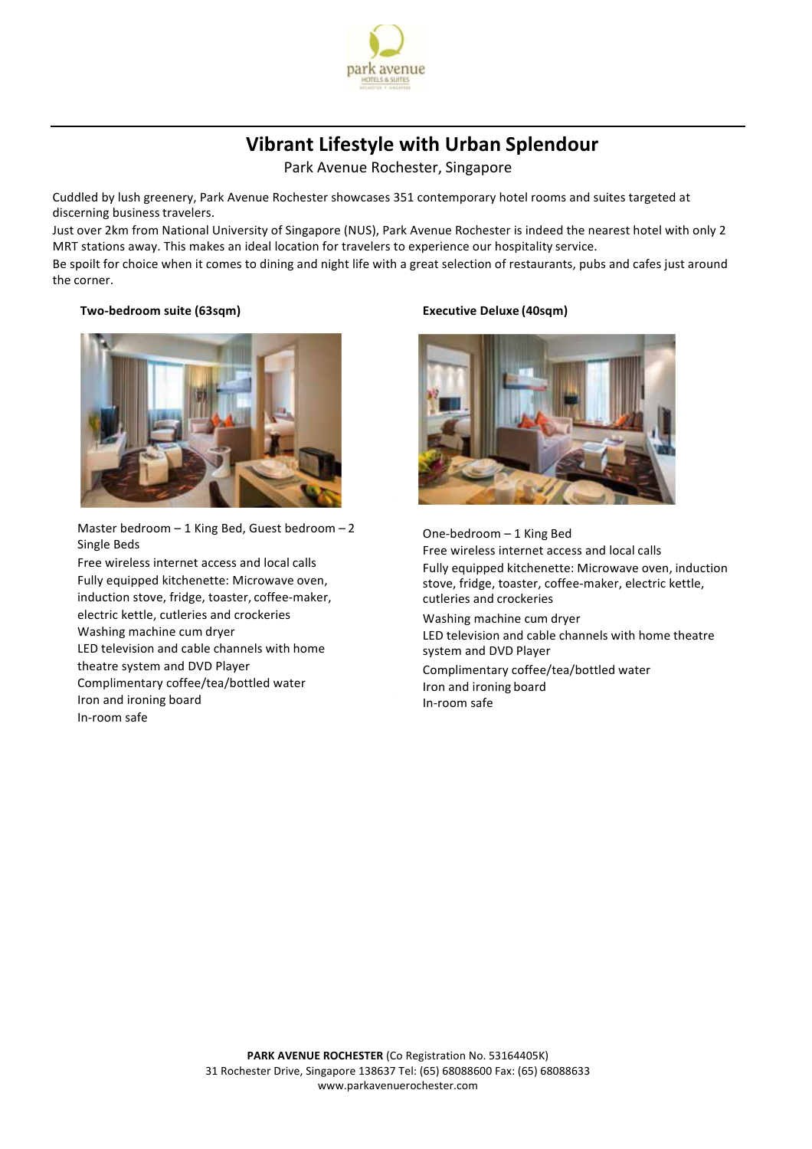

# **Vibrant Lifestyle with Urban Splendour**

Park Avenue Rochester, Singapore

Cuddled by lush greenery, Park Avenue Rochester showcases 351 contemporary hotel rooms and suites targeted at discerning business travelers.

Just over 2km from National University of Singapore (NUS), Park Avenue Rochester is indeed the nearest hotel with only 2 MRT stations away. This makes an ideal location for travelers to experience our hospitality service.

Be spoilt for choice when it comes to dining and night life with a great selection of restaurants, pubs and cafes just around the corner.

### **Two-bedroom suite (63sqm) Executive Deluxe (40sqm)**



Master bedroom – 1 King Bed, Guest bedroom – 2 Single Beds

Free wireless internet access and local calls Fully equipped kitchenette: Microwave oven, induction stove, fridge, toaster, coffee-maker, electric kettle, cutleries and crockeries Washing machine cum dryer LED television and cable channels with home theatre system and DVD Player Complimentary coffee/tea/bottled water Iron and ironing board In-room safe



One-bedroom – 1 King Bed Free wireless internet access and local calls Fully equipped kitchenette: Microwave oven, induction stove, fridge, toaster, coffee-maker, electric kettle, cutleries and crockeries Washing machine cum dryer LED television and cable channels with home theatre system and DVD Player Complimentary coffee/tea/bottled water Iron and ironing board In-room safe